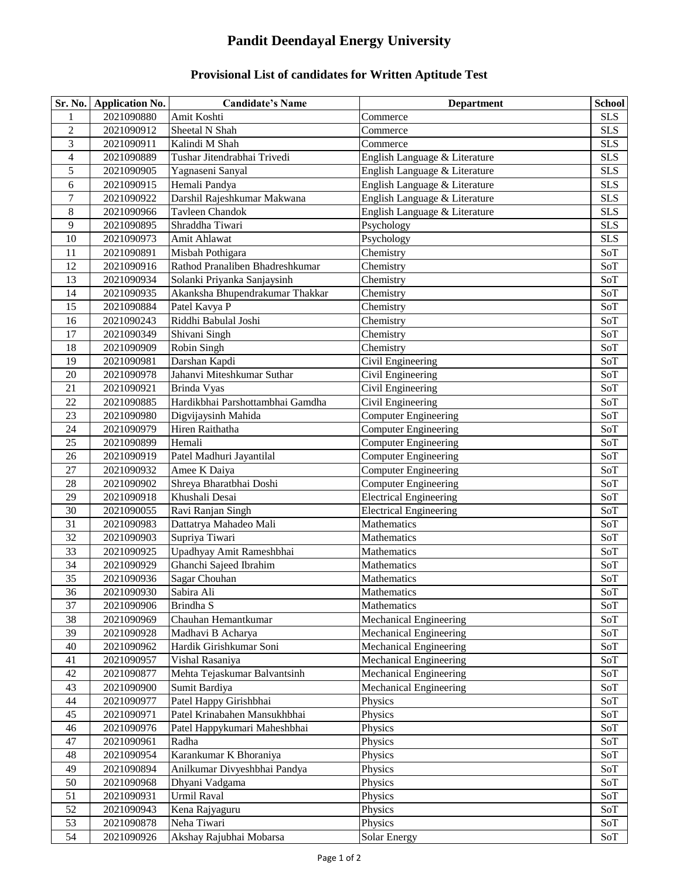## **Pandit Deendayal Energy University**

## **Provisional List of candidates for Written Aptitude Test**

| Sr. No.          | <b>Application No.</b> | <b>Candidate's Name</b>          | <b>Department</b>             | <b>School</b> |
|------------------|------------------------|----------------------------------|-------------------------------|---------------|
| 1                | 2021090880             | Amit Koshti                      | Commerce                      | <b>SLS</b>    |
| $\boldsymbol{2}$ | 2021090912             | Sheetal N Shah                   | Commerce                      | <b>SLS</b>    |
| 3                | 2021090911             | Kalindi M Shah                   | Commerce                      | <b>SLS</b>    |
| 4                | 2021090889             | Tushar Jitendrabhai Trivedi      | English Language & Literature | <b>SLS</b>    |
| 5                | 2021090905             | Yagnaseni Sanyal                 | English Language & Literature | <b>SLS</b>    |
| 6                | 2021090915             | Hemali Pandya                    | English Language & Literature | <b>SLS</b>    |
| $\boldsymbol{7}$ | 2021090922             | Darshil Rajeshkumar Makwana      | English Language & Literature | <b>SLS</b>    |
| 8                | 2021090966             | <b>Tayleen Chandok</b>           | English Language & Literature | <b>SLS</b>    |
| 9                | 2021090895             | Shraddha Tiwari                  | Psychology                    | <b>SLS</b>    |
| 10               | 2021090973             | Amit Ahlawat                     | Psychology                    | <b>SLS</b>    |
| 11               | 2021090891             | Misbah Pothigara                 | Chemistry                     | SoT           |
| 12               | 2021090916             | Rathod Pranaliben Bhadreshkumar  | Chemistry                     | SoT           |
| 13               | 2021090934             | Solanki Priyanka Sanjaysinh      | Chemistry                     | SoT           |
| 14               | 2021090935             | Akanksha Bhupendrakumar Thakkar  | Chemistry                     | SoT           |
| 15               | 2021090884             | Patel Kavya P                    | Chemistry                     | SoT           |
| 16               | 2021090243             | Riddhi Babulal Joshi             | Chemistry                     | SoT           |
| 17               | 2021090349             | Shivani Singh                    | Chemistry                     | SoT           |
| 18               | 2021090909             | Robin Singh                      | Chemistry                     | SoT           |
| 19               | 2021090981             | Darshan Kapdi                    | Civil Engineering             | SoT           |
| 20               | 2021090978             | Jahanvi Miteshkumar Suthar       | Civil Engineering             | SoT           |
| 21               | 2021090921             | Brinda Vyas                      | Civil Engineering             | SoT           |
| 22               | 2021090885             | Hardikbhai Parshottambhai Gamdha | Civil Engineering             | SoT           |
| 23               | 2021090980             | Digvijaysinh Mahida              | Computer Engineering          | SoT           |
| 24               | 2021090979             | Hiren Raithatha                  | <b>Computer Engineering</b>   | SoT           |
| 25               | 2021090899             | Hemali                           | <b>Computer Engineering</b>   | SoT           |
| 26               | 2021090919             | Patel Madhuri Jayantilal         | <b>Computer Engineering</b>   | SoT           |
| $27\,$           | 2021090932             | Amee K Daiya                     | <b>Computer Engineering</b>   | SoT           |
| 28               | 2021090902             | Shreya Bharatbhai Doshi          | <b>Computer Engineering</b>   | SoT           |
| 29               | 2021090918             | Khushali Desai                   | <b>Electrical Engineering</b> | SoT           |
| 30               | 2021090055             | Ravi Ranjan Singh                | <b>Electrical Engineering</b> | SoT           |
| 31               | 2021090983             | Dattatrya Mahadeo Mali           | Mathematics                   | SoT           |
| 32               | 2021090903             | Supriya Tiwari                   | Mathematics                   | SoT           |
| 33               | 2021090925             | Upadhyay Amit Rameshbhai         | Mathematics                   | SoT           |
| 34               | 2021090929             | Ghanchi Sajeed Ibrahim           | Mathematics                   | SoT           |
| 35               | 2021090936             | Sagar Chouhan                    | Mathematics                   | SoT           |
| 36               | 2021090930             | Sabira Ali                       | Mathematics                   | SoT           |
| 37               | 2021090906             | Brindha S                        | Mathematics                   | SoT           |
| 38               | 2021090969             | Chauhan Hemantkumar              | <b>Mechanical Engineering</b> | SoT           |
| 39               | 2021090928             | Madhavi B Acharya                | Mechanical Engineering        | SoT           |
| 40               | 2021090962             | Hardik Girishkumar Soni          | Mechanical Engineering        | SoT           |
| 41               | 2021090957             | Vishal Rasaniya                  | Mechanical Engineering        | SoT           |
| 42               | 2021090877             | Mehta Tejaskumar Balvantsinh     | Mechanical Engineering        | SoT           |
| 43               | 2021090900             | Sumit Bardiya                    | <b>Mechanical Engineering</b> | SoT           |
| 44               | 2021090977             | Patel Happy Girishbhai           | Physics                       | SoT           |
| 45               | 2021090971             | Patel Krinabahen Mansukhbhai     | Physics                       | SoT           |
| $46\,$           | 2021090976             | Patel Happykumari Maheshbhai     | Physics                       | SoT           |
| 47               | 2021090961             | Radha                            | Physics                       | SoT           |
| $48\,$           | 2021090954             | Karankumar K Bhoraniya           | Physics                       | SoT           |
| 49               | 2021090894             | Anilkumar Divyeshbhai Pandya     | Physics                       | SoT           |
| 50               | 2021090968             | Dhyani Vadgama                   | Physics                       | SoT           |
| 51               | 2021090931             | Urmil Raval                      | Physics                       | SoT           |
| 52               | 2021090943             | Kena Rajyaguru                   | Physics                       | SoT           |
| 53               | 2021090878             | Neha Tiwari                      | Physics                       | SoT           |
| 54               | 2021090926             | Akshay Rajubhai Mobarsa          | Solar Energy                  | SoT           |